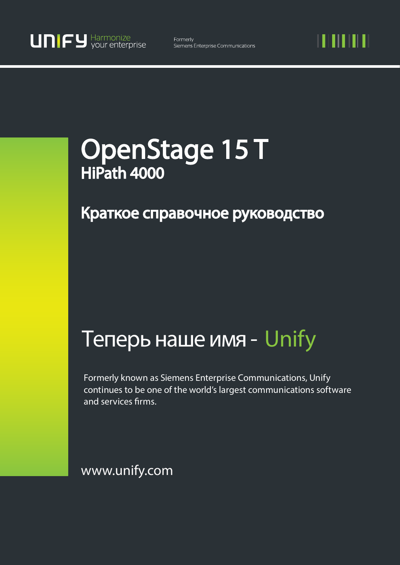11 I II I II

# OpenStage 15 T HiPath 4000

## Краткое справочное руководство

## Теперь наше имя - Unify

Formerly known as Siemens Enterprise Communications, Unify continues to be one of the world's largest communications software and services firms.

www.unify.com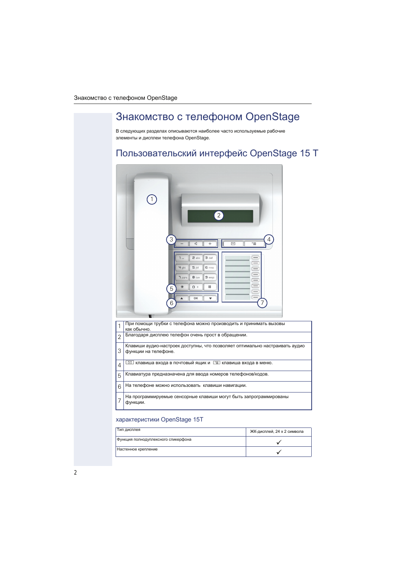## Знакомство с телефоном OpenStage

В следующих разделах описываются наиболее часто используемые рабочие элементы и дисплеи телефона OpenStage.

## Пользовательский интерфейс OpenStage 15 Т



#### характеристики OpenStage 15T

| Тип дисплея                         | ЖК-дисплей, 24 х 2 символа |
|-------------------------------------|----------------------------|
| Функция полнодуплексного спикерфона |                            |
| Настенное крепление                 |                            |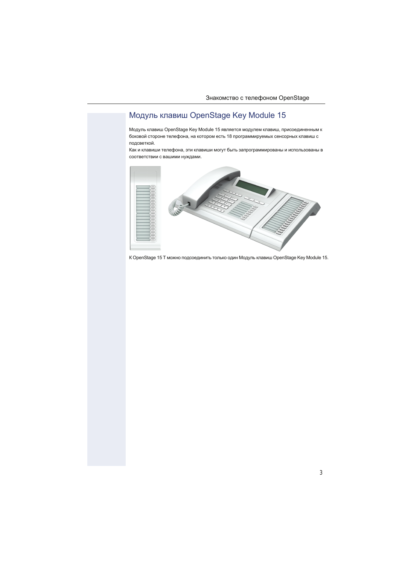### <span id="page-2-0"></span>Модуль клавиш OpenStage Key Module 15

Модуль клавиш OpenStage Key Module 15 является модулем клавиш, присоединенным к боковой стороне телефона, на котором есть 18 программируемых сенсорных клавиш с подсветкой.

Как и клавиши телефона, эти клавиши могут быть запрограммированы и использованы в соответствии с вашими [нуждами.](#page-4-0)



К OpenStage 15 Т можно подсоединить только один Модуль клавиш OpenStage Key Module 15.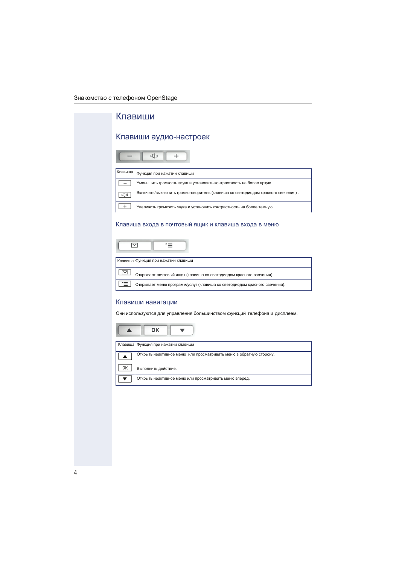<span id="page-3-0"></span>

| зо с телефоном OpenStage                                                                             |  |  |  |  |
|------------------------------------------------------------------------------------------------------|--|--|--|--|
| Клавиши                                                                                              |  |  |  |  |
| Клавиши аудио-настроек                                                                               |  |  |  |  |
| $E($ ])                                                                                              |  |  |  |  |
| Клавиша<br>Функция при нажатии клавиши                                                               |  |  |  |  |
| Уменьшить громкость звука и установить контрастность на более яркую.                                 |  |  |  |  |
| Включить/выключить громкоговоритель (клавиша со светодиодом красного свечения).<br>( ) D             |  |  |  |  |
| $\ddot{}$<br>Увеличить громкость звука и установить контрастность на более темную.                   |  |  |  |  |
| 罓<br>'≡                                                                                              |  |  |  |  |
| Клавиша Функция при нажатии клавиши                                                                  |  |  |  |  |
| $\triangledown$  <br>Открывает почтовый ящик (клавиша со светодиодом красного свечения).             |  |  |  |  |
| Открывает меню программ/услуг (клавиша со светодиодом красного свечения).                            |  |  |  |  |
| Клавиши навигации<br>Они используются для управления большинством функций телефона и дисплеем.<br>OК |  |  |  |  |
| Клавиша Функция при нажатии клавиши                                                                  |  |  |  |  |
| Открыть неактивное меню или просматривать меню в обратную сторону.<br>▲                              |  |  |  |  |
| 0K<br>Выполнить действие.                                                                            |  |  |  |  |
| Открыть неактивное меню или просматривать меню вперед.                                               |  |  |  |  |
|                                                                                                      |  |  |  |  |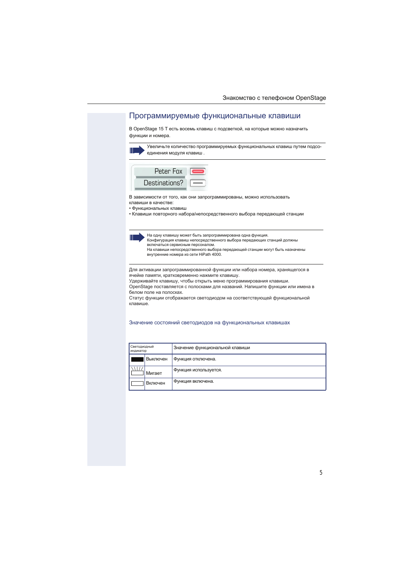#### <span id="page-4-0"></span>Программируемые функциональные клавиши

В OpenStage 15 Т есть восемь клавиш с подсветкой, на которые можно назначить функции и номера.

| III | Увеличьте количество программируемых функциональных клавиш путем подсо- |
|-----|-------------------------------------------------------------------------|
|     | $\overline{\phantom{a}}$ единения модуля клавиш.                        |



В зависимости от того, как они запрограммированы, можно использовать клавиши в качестве:

- Функциональных кл[авиш](#page--1-1)
- Клавиши повторного набора/непосредственного [выбора](#page--1-0) передающей станции

На одну клавишу может быть запрограммирована одна функция. Конфигурация клавиш непосредственного выбора передающих станций должны включаться сервисным персоналом. На клавиши непосредственного выбора передающей станции могут быть назначены внутренние номера из сети HiPath 4000.

Для активации запрограммированной функции или набора номера, хранящегося в ячейке памяти, кратковременно нажмите клавишу.

Удерживайте клавишу, чтобы открыть меню программирования клавиши.

OpenStage поставляется с полосками для названий. Напишите [функции](#page--1-2) или имена в белом поле на полосках.

Статус функции отображается светодиодом на соответствующей функциональной клавише.

#### Значение состояний светодиодов на функциональных клавишах

| Светодиодный<br>индикатор |               | Значение функциональной клавиши |
|---------------------------|---------------|---------------------------------|
|                           | Выключен      | Функция отключена.              |
|                           | <b>Мигает</b> | Функция используется.           |
|                           | Включен       | Функция включена.               |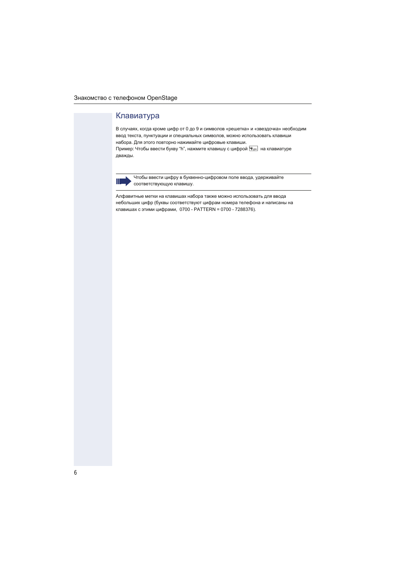### Клавиатура

В случаях, когда кроме цифр от 0 до 9 и символов «решетка» и «звездочка» необходим ввод текста, пунктуации и специальных символов, можно использовать клавиши набора. Для этого повторно нажимайте цифровые клавиши. Пример: Чтобы ввести букву "h", нажмите клавишу с цифрой  $\overline{H_{\text{phil}}}$  на клавиатуре дважды.



Чтобы ввести цифру в буквенно-цифровом поле ввода, удерживайте соответствующую клавишу.

Алфавитные метки на клавишах набора также можно использовать для ввода небольших цифр (буквы соответствуют цифрам номера телефона и написаны на клавишах с этими цифрами, 0700 - PATTERN = 0700 - 7288376).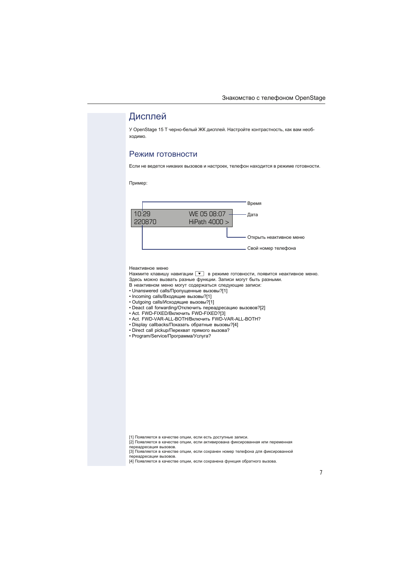## Дисплей

У OpenStage 15 Т черно-белый ЖК дисплей. Настройте контрастность, как вам необходимо.

#### Режим готовности

Если не ведется никаких вызовов и настроек, телефон находится в режиме готовности.

Пример:



#### Неактивное меню

Нажмите клавишу навигации  $\blacktriangledown$  в режиме готовности, появится неактивное меню. Здесь можно вызвать разные функции. Записи могут быть [разными.](#page-3-0)

В неактивном меню могут содержаться следующие записи:

- Unanswered calls/Пропущенные вызовы?[1]
- Incoming calls/Входящие вызовы?[1]
- Outgoing calls/Исходящие вызовы?[1]
- Deact call forwarding/[Отк](#page-6-0)лючить переадресацию вызовов?[2]
- Act. FWD-FIXED/Включить FWD-FIXED?[3]
- Act. FWD-VAR-ALL-B[OTH](#page-6-0)/Включить FWD-VAR-ALL-BOTH?
- Display callbacks/Показать обратные вызовы?[4]
- Direct call pickup/Перехват прямого вызова?
- Program/Service/Программа/Услуга?

<span id="page-6-0"></span><sup>[1]</sup> Появляется в качестве опции, если есть доступные записи.

<sup>[2]</sup> Появляется в качестве опции, если активирована фиксированная или переменная переадресация вызовов.

<sup>[3]</sup> Появляется в качестве опции, если сохранен номер телефона для фиксированной переадресации вызовов.

<sup>[4]</sup> Появляется в качестве опции, если сохранена функция обратного вызова.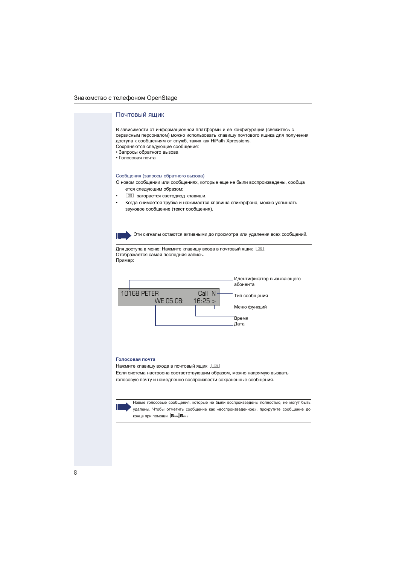#### <span id="page-7-0"></span>Почтовый ящик

В зависимости от информационной платформы и ее конфигураций (свяжитесь с сервисным персоналом) можно использовать клавишу почтового ящика для получения доступа к сообщениям от служб, таких как HiPath Xpressions. Сохраняются следующие сообщения:

- Запросы обратного вызова
- Голосовая почта

#### Сообщения (запросы обратного вызова)

О новом сообщении или сообщениях, которые еще не были воспроизведены, сообща ется следующим образом:

- **Загорается светодиод клавиши.**
- Когда снимается трубка и нажимается клавиша спикерфона, можно услышать звуковое сообщение (текст сообщения).

Эти сигналы остаются активными до просмотра или удаления всех сообщений.

Для доступа в меню: Нажмите клавишу входа в почтовый ящик  $\boxed{\boxtimes}$ . Отображается самая последняя запись. Пример:



#### **Голосовая почта**

Нажмите клавишу входа в почтовый ящик . [

Если система настроена соответствующим образом, можно напрямую вызвать голосовую почту и немедленно воспроизвести сохраненные сообщения.



Новые голосовые сообщения, которые не были воспроизведены полностью, не могут быть удалены. Чтобы отметить сообщение как «воспроизведенное», прокрутите сообщение до конца при помощи **6**mno 6mno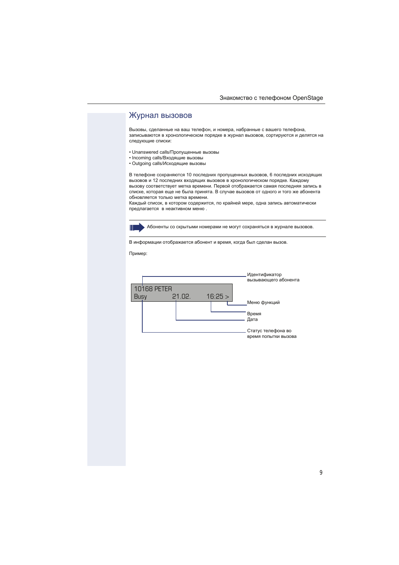#### Журнал вызовов

Вызовы, сделанные на ваш телефон, и номера, набранные с вашего телефона, записываются в хронологическом порядке в журнал вызовов, сортируются и делятся на следующие списки:

- Unanswered calls/Пропущенные вызовы
- Incoming calls/Входящие вызовы
- Outgoing calls/Исходящие вызовы

В телефоне сохраняются 10 последних пропущенных вызовов, 6 последних исходящих вызовов и 12 последних входящих вызовов в хронологическом порядке. Каждому вызову соответствует метка времени. Первой отображается самая последняя запись в списке, которая еще не была принята. В случае вызовов от одного и того же абонента обновляется только метка времени.

Каждый список, в котором содержится, по крайней мере, одна запись автоматически предлагается в неактивном меню [.](#page--1-3)



Абоненты со скрытыми номерами не могут сохраняться в журнале вызовов.

В информации отображается абонент и время, когда был сделан вызов.

Пример: